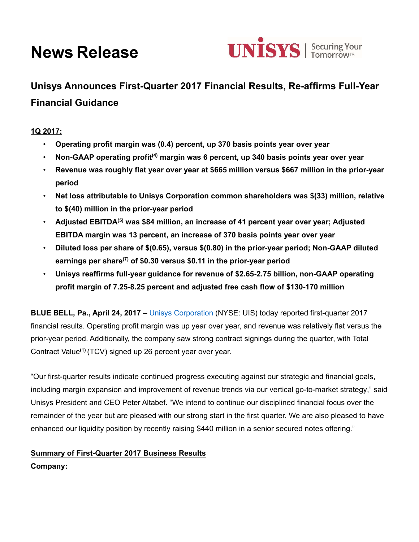# **News Release**



**Unisys Announces First-Quarter 2017 Financial Results, Re-affirms Full-Year Financial Guidance** 

# **1Q 2017:**

- **Operating profit margin was (0.4) percent, up 370 basis points year over year**
- **Non-GAAP operating profit(4) margin was 6 percent, up 340 basis points year over year**
- **Revenue was roughly flat year over year at \$665 million versus \$667 million in the prior-year period**
- **Net loss attributable to Unisys Corporation common shareholders was \$(33) million, relative to \$(40) million in the prior-year period**
- **Adjusted EBITDA(5) was \$84 million, an increase of 41 percent year over year; Adjusted EBITDA margin was 13 percent, an increase of 370 basis points year over year**
- **Diluted loss per share of \$(0.65), versus \$(0.80) in the prior-year period; Non-GAAP diluted earnings per share(7) of \$0.30 versus \$0.11 in the prior-year period**
- **Unisys reaffirms full-year guidance for revenue of \$2.65-2.75 billion, non-GAAP operating profit margin of 7.25-8.25 percent and adjusted free cash flow of \$130-170 million**

**BLUE BELL, Pa., April 24, 2017** – Unisys Corporation (NYSE: UIS) today reported first-quarter 2017 financial results. Operating profit margin was up year over year, and revenue was relatively flat versus the prior-year period. Additionally, the company saw strong contract signings during the quarter, with Total Contract Value**(1)** (TCV) signed up 26 percent year over year.

"Our first-quarter results indicate continued progress executing against our strategic and financial goals, including margin expansion and improvement of revenue trends via our vertical go-to-market strategy," said Unisys President and CEO Peter Altabef. "We intend to continue our disciplined financial focus over the remainder of the year but are pleased with our strong start in the first quarter. We are also pleased to have enhanced our liquidity position by recently raising \$440 million in a senior secured notes offering."

## **Summary of First-Quarter 2017 Business Results**

**Company:**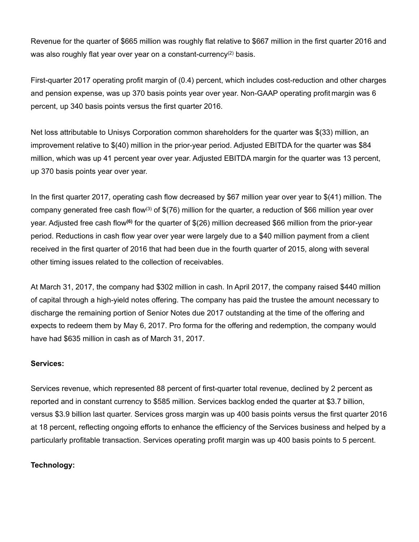Revenue for the quarter of \$665 million was roughly flat relative to \$667 million in the first quarter 2016 and was also roughly flat year over year on a constant-currency<sup>(2)</sup> basis.

First-quarter 2017 operating profit margin of (0.4) percent, which includes cost-reduction and other charges and pension expense, was up 370 basis points year over year. Non-GAAP operating profit margin was 6 percent, up 340 basis points versus the first quarter 2016.

Net loss attributable to Unisys Corporation common shareholders for the quarter was \$(33) million, an improvement relative to \$(40) million in the prior-year period. Adjusted EBITDA for the quarter was \$84 million, which was up 41 percent year over year. Adjusted EBITDA margin for the quarter was 13 percent, up 370 basis points year over year.

In the first quarter 2017, operating cash flow decreased by \$67 million year over year to \$(41) million. The company generated free cash flow<sup>(3)</sup> of  $$(76)$  million for the quarter, a reduction of \$66 million year over year. Adjusted free cash flow**(6)** for the quarter of \$(26) million decreased \$66 million from the prior-year period. Reductions in cash flow year over year were largely due to a \$40 million payment from a client received in the first quarter of 2016 that had been due in the fourth quarter of 2015, along with several other timing issues related to the collection of receivables.

At March 31, 2017, the company had \$302 million in cash. In April 2017, the company raised \$440 million of capital through a high-yield notes offering. The company has paid the trustee the amount necessary to discharge the remaining portion of Senior Notes due 2017 outstanding at the time of the offering and expects to redeem them by May 6, 2017. Pro forma for the offering and redemption, the company would have had \$635 million in cash as of March 31, 2017.

#### **Services:**

Services revenue, which represented 88 percent of first-quarter total revenue, declined by 2 percent as reported and in constant currency to \$585 million. Services backlog ended the quarter at \$3.7 billion, versus \$3.9 billion last quarter. Services gross margin was up 400 basis points versus the first quarter 2016 at 18 percent, reflecting ongoing efforts to enhance the efficiency of the Services business and helped by a particularly profitable transaction. Services operating profit margin was up 400 basis points to 5 percent.

#### **Technology:**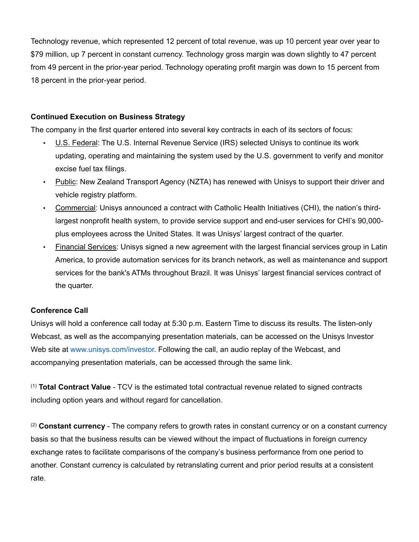Technology revenue, which represented 12 percent of total revenue, was up 10 percent year over year to \$79 million, up 7 percent in constant currency. Technology gross margin was down slightly to 47 percent from 49 percent in the prior-year period. Technology operating profit margin was down to 15 percent from 18 percent in the prior-year period.

#### **Continued Execution on Business Strategy**

The company in the first quarter entered into several key contracts in each of its sectors of focus:

- U.S. Federal: The U.S. Internal Revenue Service (IRS) selected Unisys to continue its work updating, operating and maintaining the system used by the U.S. government to verify and monitor excise fuel tax filings.
- Public: New Zealand Transport Agency (NZTA) has renewed with Unisys to support their driver and vehicle registry platform.
- Commercial: Unisys announced a contract with Catholic Health Initiatives (CHI), the nation's thirdlargest nonprofit health system, to provide service support and end-user services for CHI's 90,000 plus employees across the United States. It was Unisys' largest contract of the quarter.
- Financial Services: Unisys signed a new agreement with the largest financial services group in Latin America, to provide automation services for its branch network, as well as maintenance and support services for the bank's ATMs throughout Brazil. It was Unisys' largest financial services contract of the quarter.

## **Conference Call**

Unisys will hold a conference call today at 5:30 p.m. Eastern Time to discuss its results. The listen-only Webcast, as well as the accompanying presentation materials, can be accessed on the Unisys Investor Web site at www.unisys.com/investor. Following the call, an audio replay of the Webcast, and accompanying presentation materials, can be accessed through the same link.

(1) **Total Contract Value** - TCV is the estimated total contractual revenue related to signed contracts including option years and without regard for cancellation.

(2) **Constant currency** - The company refers to growth rates in constant currency or on a constant currency basis so that the business results can be viewed without the impact of fluctuations in foreign currency exchange rates to facilitate comparisons of the company's business performance from one period to another. Constant currency is calculated by retranslating current and prior period results at a consistent rate.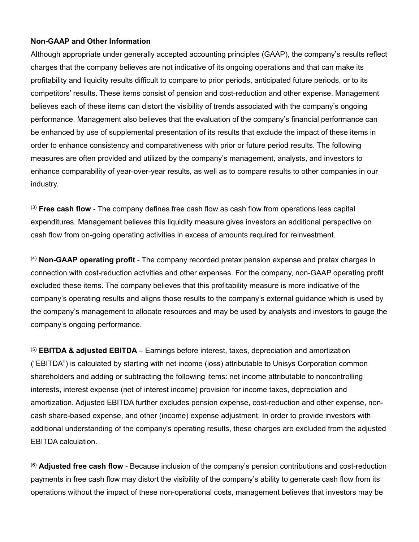#### **Non-GAAP and Other Information**

Although appropriate under generally accepted accounting principles (GAAP), the company's results reflect charges that the company believes are not indicative of its ongoing operations and that can make its profitability and liquidity results difficult to compare to prior periods, anticipated future periods, or to its competitors' results. These items consist of pension and cost-reduction and other expense. Management believes each of these items can distort the visibility of trends associated with the company's ongoing performance. Management also believes that the evaluation of the company's financial performance can be enhanced by use of supplemental presentation of its results that exclude the impact of these items in order to enhance consistency and comparativeness with prior or future period results. The following measures are often provided and utilized by the company's management, analysts, and investors to enhance comparability of year-over-year results, as well as to compare results to other companies in our industry.

(3) **Free cash flow** - The company defines free cash flow as cash flow from operations less capital expenditures. Management believes this liquidity measure gives investors an additional perspective on cash flow from on-going operating activities in excess of amounts required for reinvestment.

(4) **Non-GAAP operating profit** - The company recorded pretax pension expense and pretax charges in connection with cost-reduction activities and other expenses. For the company, non-GAAP operating profit excluded these items. The company believes that this profitability measure is more indicative of the company's operating results and aligns those results to the company's external guidance which is used by the company's management to allocate resources and may be used by analysts and investors to gauge the company's ongoing performance.

(5) **EBITDA & adjusted EBITDA** – Earnings before interest, taxes, depreciation and amortization ("EBITDA") is calculated by starting with net income (loss) attributable to Unisys Corporation common shareholders and adding or subtracting the following items: net income attributable to noncontrolling interests, interest expense (net of interest income) provision for income taxes, depreciation and amortization. Adjusted EBITDA further excludes pension expense, cost-reduction and other expense, noncash share-based expense, and other (income) expense adjustment. In order to provide investors with additional understanding of the company's operating results, these charges are excluded from the adjusted EBITDA calculation.

(6) **Adjusted free cash flow** - Because inclusion of the company's pension contributions and cost-reduction payments in free cash flow may distort the visibility of the company's ability to generate cash flow from its operations without the impact of these non-operational costs, management believes that investors may be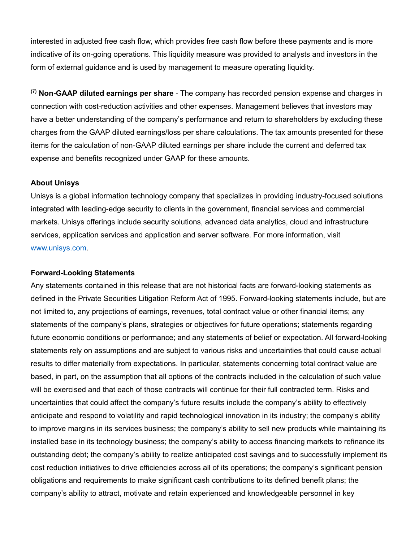interested in adjusted free cash flow, which provides free cash flow before these payments and is more indicative of its on-going operations. This liquidity measure was provided to analysts and investors in the form of external guidance and is used by management to measure operating liquidity.

**(7) Non-GAAP diluted earnings per share** - The company has recorded pension expense and charges in connection with cost-reduction activities and other expenses. Management believes that investors may have a better understanding of the company's performance and return to shareholders by excluding these charges from the GAAP diluted earnings/loss per share calculations. The tax amounts presented for these items for the calculation of non-GAAP diluted earnings per share include the current and deferred tax expense and benefits recognized under GAAP for these amounts.

#### **About Unisys**

Unisys is a global information technology company that specializes in providing industry-focused solutions integrated with leading-edge security to clients in the government, financial services and commercial markets. Unisys offerings include security solutions, advanced data analytics, cloud and infrastructure services, application services and application and server software. For more information, visit www.unisys.com.

#### **Forward-Looking Statements**

Any statements contained in this release that are not historical facts are forward-looking statements as defined in the Private Securities Litigation Reform Act of 1995. Forward-looking statements include, but are not limited to, any projections of earnings, revenues, total contract value or other financial items; any statements of the company's plans, strategies or objectives for future operations; statements regarding future economic conditions or performance; and any statements of belief or expectation. All forward-looking statements rely on assumptions and are subject to various risks and uncertainties that could cause actual results to differ materially from expectations. In particular, statements concerning total contract value are based, in part, on the assumption that all options of the contracts included in the calculation of such value will be exercised and that each of those contracts will continue for their full contracted term. Risks and uncertainties that could affect the company's future results include the company's ability to effectively anticipate and respond to volatility and rapid technological innovation in its industry; the company's ability to improve margins in its services business; the company's ability to sell new products while maintaining its installed base in its technology business; the company's ability to access financing markets to refinance its outstanding debt; the company's ability to realize anticipated cost savings and to successfully implement its cost reduction initiatives to drive efficiencies across all of its operations; the company's significant pension obligations and requirements to make significant cash contributions to its defined benefit plans; the company's ability to attract, motivate and retain experienced and knowledgeable personnel in key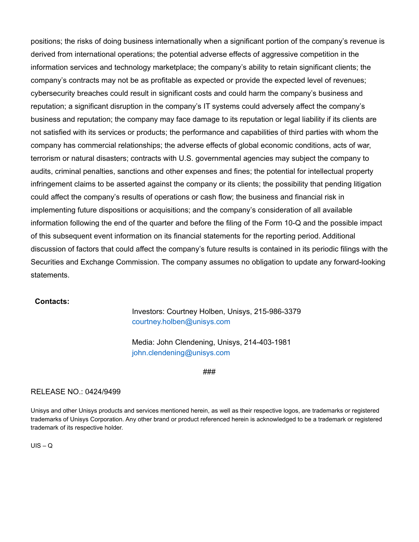positions; the risks of doing business internationally when a significant portion of the company's revenue is derived from international operations; the potential adverse effects of aggressive competition in the information services and technology marketplace; the company's ability to retain significant clients; the company's contracts may not be as profitable as expected or provide the expected level of revenues; cybersecurity breaches could result in significant costs and could harm the company's business and reputation; a significant disruption in the company's IT systems could adversely affect the company's business and reputation; the company may face damage to its reputation or legal liability if its clients are not satisfied with its services or products; the performance and capabilities of third parties with whom the company has commercial relationships; the adverse effects of global economic conditions, acts of war, terrorism or natural disasters; contracts with U.S. governmental agencies may subject the company to audits, criminal penalties, sanctions and other expenses and fines; the potential for intellectual property infringement claims to be asserted against the company or its clients; the possibility that pending litigation could affect the company's results of operations or cash flow; the business and financial risk in implementing future dispositions or acquisitions; and the company's consideration of all available information following the end of the quarter and before the filing of the Form 10-Q and the possible impact of this subsequent event information on its financial statements for the reporting period. Additional discussion of factors that could affect the company's future results is contained in its periodic filings with the Securities and Exchange Commission. The company assumes no obligation to update any forward-looking statements.

#### **Contacts:**

Investors: Courtney Holben, Unisys, 215-986-3379 courtney.holben@unisys.com

Media: John Clendening, Unisys, 214-403-1981 john.clendening@unisys.com

###

#### RELEASE NO.: 0424/9499

Unisys and other Unisys products and services mentioned herein, as well as their respective logos, are trademarks or registered trademarks of Unisys Corporation. Any other brand or product referenced herein is acknowledged to be a trademark or registered trademark of its respective holder.

 $UIS - Q$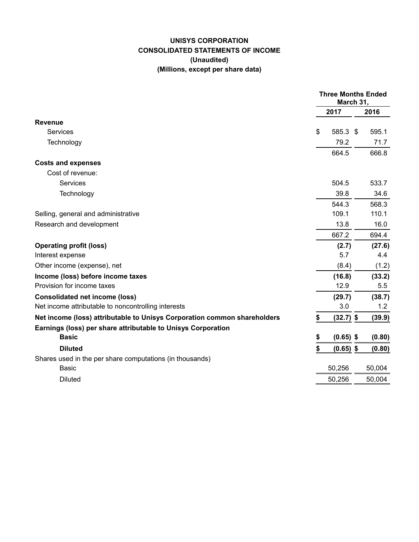## **UNISYS CORPORATION CONSOLIDATED STATEMENTS OF INCOME (Unaudited) (Millions, except per share data)**

|                                                                          | <b>Three Months Ended</b><br>March 31, |             |     |        |
|--------------------------------------------------------------------------|----------------------------------------|-------------|-----|--------|
|                                                                          |                                        | 2017        |     | 2016   |
| <b>Revenue</b>                                                           |                                        |             |     |        |
| Services                                                                 | \$                                     | 585.3       | -\$ | 595.1  |
| Technology                                                               |                                        | 79.2        |     | 71.7   |
|                                                                          |                                        | 664.5       |     | 666.8  |
| <b>Costs and expenses</b>                                                |                                        |             |     |        |
| Cost of revenue:                                                         |                                        |             |     |        |
| Services                                                                 |                                        | 504.5       |     | 533.7  |
| Technology                                                               |                                        | 39.8        |     | 34.6   |
|                                                                          |                                        | 544.3       |     | 568.3  |
| Selling, general and administrative                                      |                                        | 109.1       |     | 110.1  |
| Research and development                                                 |                                        | 13.8        |     | 16.0   |
|                                                                          |                                        | 667.2       |     | 694.4  |
| <b>Operating profit (loss)</b>                                           |                                        | (2.7)       |     | (27.6) |
| Interest expense                                                         |                                        | 5.7         |     | 4.4    |
| Other income (expense), net                                              |                                        | (8.4)       |     | (1.2)  |
| Income (loss) before income taxes                                        |                                        | (16.8)      |     | (33.2) |
| Provision for income taxes                                               |                                        | 12.9        |     | 5.5    |
| <b>Consolidated net income (loss)</b>                                    |                                        | (29.7)      |     | (38.7) |
| Net income attributable to noncontrolling interests                      |                                        | $3.0\,$     |     | 1.2    |
| Net income (loss) attributable to Unisys Corporation common shareholders | \$                                     | $(32.7)$ \$ |     | (39.9) |
| Earnings (loss) per share attributable to Unisys Corporation             |                                        |             |     |        |
| <b>Basic</b>                                                             | \$                                     | $(0.65)$ \$ |     | (0.80) |
| <b>Diluted</b>                                                           | \$                                     | $(0.65)$ \$ |     | (0.80) |
| Shares used in the per share computations (in thousands)                 |                                        |             |     |        |
| <b>Basic</b>                                                             |                                        | 50,256      |     | 50,004 |
| <b>Diluted</b>                                                           |                                        | 50,256      |     | 50,004 |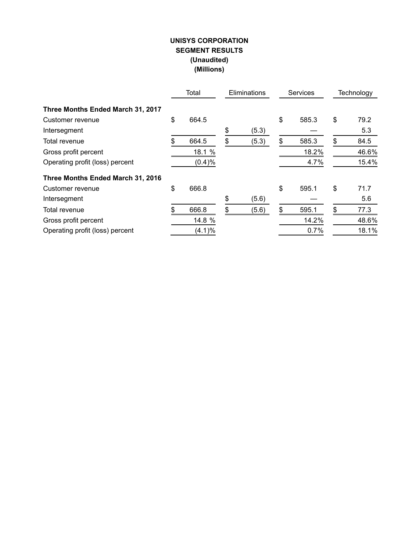## **UNISYS CORPORATION SEGMENT RESULTS (Unaudited) (Millions)**

|                                   | Total       | Eliminations | <b>Services</b> |       | Technology |       |
|-----------------------------------|-------------|--------------|-----------------|-------|------------|-------|
| Three Months Ended March 31, 2017 |             |              |                 |       |            |       |
| Customer revenue                  | \$<br>664.5 |              | \$              | 585.3 | \$         | 79.2  |
| Intersegment                      |             | \$<br>(5.3)  |                 |       |            | 5.3   |
| Total revenue                     | 664.5       | \$<br>(5.3)  | \$              | 585.3 | \$         | 84.5  |
| Gross profit percent              | 18.1 %      |              |                 | 18.2% |            | 46.6% |
| Operating profit (loss) percent   | (0.4)%      |              |                 | 4.7%  |            | 15.4% |
| Three Months Ended March 31, 2016 |             |              |                 |       |            |       |
| Customer revenue                  | \$<br>666.8 |              | \$              | 595.1 | \$         | 71.7  |
| Intersegment                      |             | \$<br>(5.6)  |                 |       |            | 5.6   |
| Total revenue                     | 666.8       | \$<br>(5.6)  | \$              | 595.1 | \$         | 77.3  |
| Gross profit percent              | 14.8 %      |              |                 | 14.2% |            | 48.6% |
| Operating profit (loss) percent   | (4.1)%      |              |                 | 0.7%  |            | 18.1% |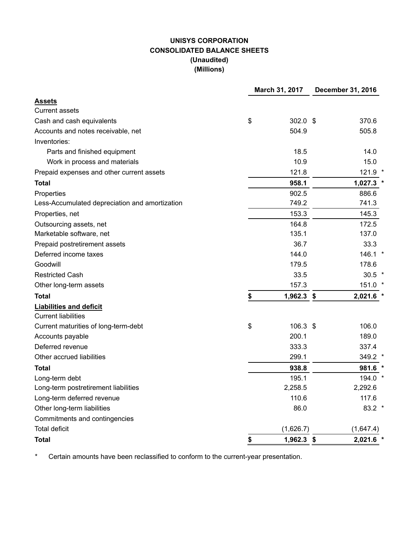# **UNISYS CORPORATION CONSOLIDATED BALANCE SHEETS (Unaudited) (Millions)**

|                                                | March 31, 2017 |            | December 31, 2016 |           |  |  |
|------------------------------------------------|----------------|------------|-------------------|-----------|--|--|
| <b>Assets</b>                                  |                |            |                   |           |  |  |
| <b>Current assets</b>                          |                |            |                   |           |  |  |
| Cash and cash equivalents                      | \$             | $302.0$ \$ |                   | 370.6     |  |  |
| Accounts and notes receivable, net             |                | 504.9      |                   | 505.8     |  |  |
| Inventories:                                   |                |            |                   |           |  |  |
| Parts and finished equipment                   |                | 18.5       |                   | 14.0      |  |  |
| Work in process and materials                  |                | 10.9       |                   | 15.0      |  |  |
| Prepaid expenses and other current assets      |                | 121.8      |                   | $121.9$ * |  |  |
| <b>Total</b>                                   |                | 958.1      |                   | 1,027.3   |  |  |
| Properties                                     |                | 902.5      |                   | 886.6     |  |  |
| Less-Accumulated depreciation and amortization |                | 749.2      |                   | 741.3     |  |  |
| Properties, net                                |                | 153.3      |                   | 145.3     |  |  |
| Outsourcing assets, net                        |                | 164.8      |                   | 172.5     |  |  |
| Marketable software, net                       |                | 135.1      |                   | 137.0     |  |  |
| Prepaid postretirement assets                  |                | 36.7       |                   | 33.3      |  |  |
| Deferred income taxes                          |                | 144.0      |                   | 146.1 *   |  |  |
| Goodwill                                       |                | 179.5      |                   | 178.6     |  |  |
| <b>Restricted Cash</b>                         |                | 33.5       |                   | $30.5$ *  |  |  |
| Other long-term assets                         |                | 157.3      |                   | 151.0 *   |  |  |
| <b>Total</b>                                   | \$             | 1,962.3 \$ |                   | 2,021.6   |  |  |
| <b>Liabilities and deficit</b>                 |                |            |                   |           |  |  |
| <b>Current liabilities</b>                     |                |            |                   |           |  |  |
| Current maturities of long-term-debt           | \$             | $106.3$ \$ |                   | 106.0     |  |  |
| Accounts payable                               |                | 200.1      |                   | 189.0     |  |  |
| Deferred revenue                               |                | 333.3      |                   | 337.4     |  |  |
| Other accrued liabilities                      |                | 299.1      |                   | 349.2 *   |  |  |
| <b>Total</b>                                   |                | 938.8      |                   | 981.6     |  |  |
| Long-term debt                                 |                | 195.1      |                   | 194.0     |  |  |
| Long-term postretirement liabilities           |                | 2,258.5    |                   | 2,292.6   |  |  |
| Long-term deferred revenue                     |                | 110.6      |                   | 117.6     |  |  |
| Other long-term liabilities                    |                | 86.0       |                   | $83.2$ *  |  |  |
| Commitments and contingencies                  |                |            |                   |           |  |  |
| <b>Total deficit</b>                           |                | (1,626.7)  |                   | (1,647.4) |  |  |
| <b>Total</b>                                   | \$             | 1,962.3 \$ |                   | 2,021.6   |  |  |

\* Certain amounts have been reclassified to conform to the current-year presentation.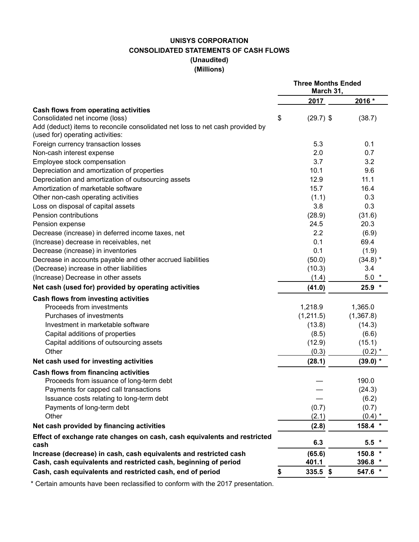# **UNISYS CORPORATION CONSOLIDATED STATEMENTS OF CASH FLOWS (Unaudited) (Millions)**

|                                                                                  | <b>Three Months Ended</b><br>March 31, |             |            |  |
|----------------------------------------------------------------------------------|----------------------------------------|-------------|------------|--|
|                                                                                  |                                        | 2017        | 2016 *     |  |
| Cash flows from operating activities                                             |                                        |             |            |  |
| Consolidated net income (loss)                                                   | \$                                     | $(29.7)$ \$ | (38.7)     |  |
| Add (deduct) items to reconcile consolidated net loss to net cash provided by    |                                        |             |            |  |
| (used for) operating activities:                                                 |                                        |             |            |  |
| Foreign currency transaction losses                                              |                                        | 5.3         | 0.1        |  |
| Non-cash interest expense                                                        |                                        | 2.0         | 0.7        |  |
| Employee stock compensation                                                      |                                        | 3.7         | 3.2        |  |
| Depreciation and amortization of properties                                      |                                        | 10.1        | 9.6        |  |
| Depreciation and amortization of outsourcing assets                              |                                        | 12.9        | 11.1       |  |
| Amortization of marketable software                                              |                                        | 15.7        | 16.4       |  |
| Other non-cash operating activities                                              |                                        | (1.1)       | 0.3        |  |
| Loss on disposal of capital assets                                               |                                        | 3.8         | 0.3        |  |
| Pension contributions                                                            |                                        | (28.9)      | (31.6)     |  |
| Pension expense                                                                  |                                        | 24.5        | 20.3       |  |
| Decrease (increase) in deferred income taxes, net                                |                                        | 2.2         | (6.9)      |  |
| (Increase) decrease in receivables, net                                          |                                        | 0.1         | 69.4       |  |
| Decrease (increase) in inventories                                               |                                        | 0.1         | (1.9)      |  |
| Decrease in accounts payable and other accrued liabilities                       |                                        | (50.0)      | $(34.8)$ * |  |
| (Decrease) increase in other liabilities                                         |                                        | (10.3)      | 3.4        |  |
| (Increase) Decrease in other assets                                              |                                        | (1.4)       | $5.0*$     |  |
| Net cash (used for) provided by operating activities                             |                                        | (41.0)      | $25.9$ *   |  |
| Cash flows from investing activities                                             |                                        |             |            |  |
| Proceeds from investments                                                        |                                        | 1,218.9     | 1,365.0    |  |
| Purchases of investments                                                         |                                        | (1,211.5)   | (1,367.8)  |  |
| Investment in marketable software                                                |                                        | (13.8)      | (14.3)     |  |
| Capital additions of properties                                                  |                                        | (8.5)       | (6.6)      |  |
| Capital additions of outsourcing assets                                          |                                        | (12.9)      | (15.1)     |  |
| Other                                                                            |                                        | (0.3)       | $(0.2)$ *  |  |
| Net cash used for investing activities                                           |                                        | (28.1)      | $(39.0)$ * |  |
| <b>Cash flows from financing activities</b>                                      |                                        |             |            |  |
| Proceeds from issuance of long-term debt                                         |                                        |             | 190.0      |  |
| Payments for capped call transactions                                            |                                        |             | (24.3)     |  |
| Issuance costs relating to long-term debt                                        |                                        |             | (6.2)      |  |
| Payments of long-term debt                                                       |                                        | (0.7)       | (0.7)      |  |
| Other                                                                            |                                        | (2.1)       | $(0.4)$ *  |  |
| Net cash provided by financing activities                                        |                                        | (2.8)       | 158.4 *    |  |
| Effect of exchange rate changes on cash, cash equivalents and restricted<br>cash |                                        | 6.3         | $5.5*$     |  |
| Increase (decrease) in cash, cash equivalents and restricted cash                |                                        | (65.6)      | $150.8$ *  |  |
| Cash, cash equivalents and restricted cash, beginning of period                  |                                        | 401.1       | 396.8 *    |  |
| Cash, cash equivalents and restricted cash, end of period                        | \$                                     | $335.5$ \$  | 547.6 *    |  |

\* Certain amounts have been reclassified to conform with the 2017 presentation.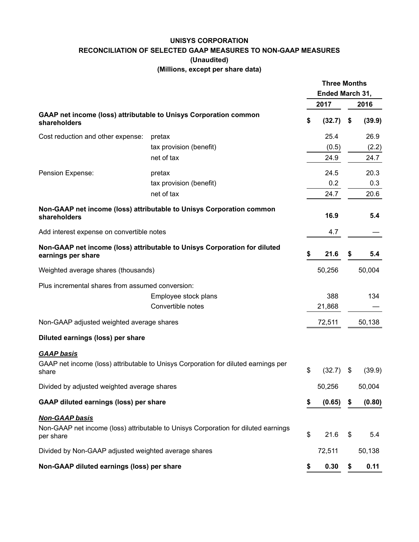#### **UNISYS CORPORATION RECONCILIATION OF SELECTED GAAP MEASURES TO NON-GAAP MEASURES (Unaudited) (Millions, except per share data)**

|                                                      |                                                                                    | <b>Three Months</b><br>Ended March 31, |        |     |        |
|------------------------------------------------------|------------------------------------------------------------------------------------|----------------------------------------|--------|-----|--------|
|                                                      |                                                                                    |                                        | 2017   |     | 2016   |
| shareholders                                         | GAAP net income (loss) attributable to Unisys Corporation common                   | \$                                     | (32.7) | \$  | (39.9) |
| Cost reduction and other expense:                    | pretax                                                                             |                                        | 25.4   |     | 26.9   |
|                                                      | tax provision (benefit)                                                            |                                        | (0.5)  |     | (2.2)  |
|                                                      | net of tax                                                                         |                                        | 24.9   |     | 24.7   |
| Pension Expense:                                     | pretax                                                                             |                                        | 24.5   |     | 20.3   |
|                                                      | tax provision (benefit)                                                            |                                        | 0.2    |     | 0.3    |
|                                                      | net of tax                                                                         |                                        | 24.7   |     | 20.6   |
| shareholders                                         | Non-GAAP net income (loss) attributable to Unisys Corporation common               |                                        | 16.9   |     | 5.4    |
| Add interest expense on convertible notes            |                                                                                    |                                        | 4.7    |     |        |
| earnings per share                                   | Non-GAAP net income (loss) attributable to Unisys Corporation for diluted          | \$                                     | 21.6   | \$  | 5.4    |
| Weighted average shares (thousands)                  |                                                                                    |                                        | 50,256 |     | 50,004 |
| Plus incremental shares from assumed conversion:     |                                                                                    |                                        |        |     |        |
|                                                      | Employee stock plans                                                               |                                        | 388    |     | 134    |
|                                                      | Convertible notes                                                                  |                                        | 21,868 |     |        |
| Non-GAAP adjusted weighted average shares            |                                                                                    |                                        | 72,511 |     | 50,138 |
| Diluted earnings (loss) per share                    |                                                                                    |                                        |        |     |        |
| <b>GAAP basis</b><br>share                           | GAAP net income (loss) attributable to Unisys Corporation for diluted earnings per | \$                                     | (32.7) | S   | (39.9) |
| Divided by adjusted weighted average shares          |                                                                                    |                                        | 50,256 |     | 50,004 |
| <b>GAAP diluted earnings (loss) per share</b>        |                                                                                    | \$                                     | (0.65) | \$. | (0.80) |
| <b>Non-GAAP basis</b>                                |                                                                                    |                                        |        |     |        |
| per share                                            | Non-GAAP net income (loss) attributable to Unisys Corporation for diluted earnings | \$                                     | 21.6   | \$  | 5.4    |
| Divided by Non-GAAP adjusted weighted average shares |                                                                                    |                                        | 72,511 |     | 50,138 |
| Non-GAAP diluted earnings (loss) per share           |                                                                                    | \$                                     | 0.30   | \$  | 0.11   |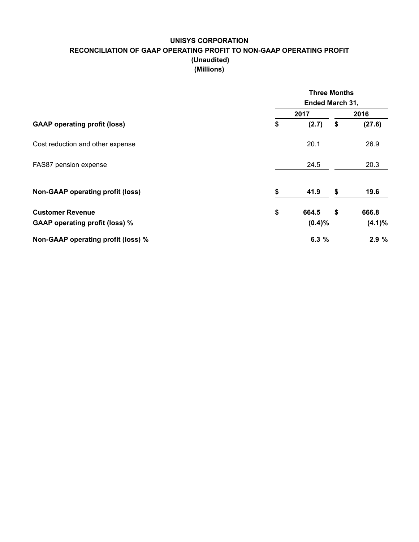## **UNISYS CORPORATION RECONCILIATION OF GAAP OPERATING PROFIT TO NON-GAAP OPERATING PROFIT (Unaudited) (Millions)**

|                                         | <b>Three Months</b> |    |           |  |  |  |  |
|-----------------------------------------|---------------------|----|-----------|--|--|--|--|
|                                         | Ended March 31,     |    |           |  |  |  |  |
| <b>GAAP operating profit (loss)</b>     | 2017                |    | 2016      |  |  |  |  |
|                                         | \$<br>(2.7)         | \$ | (27.6)    |  |  |  |  |
| Cost reduction and other expense        | 20.1                |    | 26.9      |  |  |  |  |
| FAS87 pension expense                   | 24.5                |    | 20.3      |  |  |  |  |
| <b>Non-GAAP operating profit (loss)</b> | \$<br>41.9          | \$ | 19.6      |  |  |  |  |
| <b>Customer Revenue</b>                 | \$<br>664.5         | \$ | 666.8     |  |  |  |  |
| <b>GAAP operating profit (loss) %</b>   | $(0.4)\%$           |    | $(4.1)\%$ |  |  |  |  |
| Non-GAAP operating profit (loss) %      | 6.3%                |    | 2.9%      |  |  |  |  |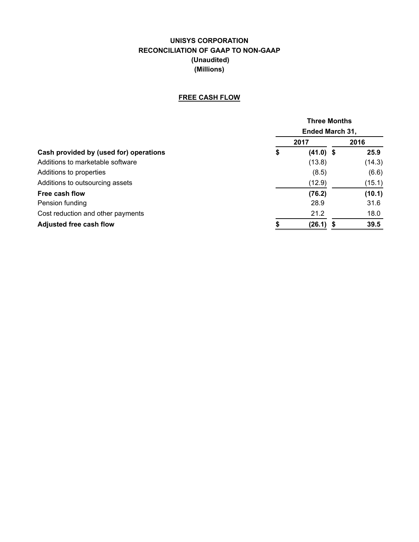# **UNISYS CORPORATION RECONCILIATION OF GAAP TO NON-GAAP (Unaudited) (Millions)**

## **FREE CASH FLOW**

|                                        | <b>Three Months</b> |                        |    |        |  |  |  |
|----------------------------------------|---------------------|------------------------|----|--------|--|--|--|
|                                        |                     | <b>Ended March 31,</b> |    |        |  |  |  |
|                                        |                     | 2017                   |    | 2016   |  |  |  |
| Cash provided by (used for) operations | \$                  | $(41.0)$ \$            |    | 25.9   |  |  |  |
| Additions to marketable software       |                     | (13.8)                 |    | (14.3) |  |  |  |
| Additions to properties                |                     | (8.5)                  |    | (6.6)  |  |  |  |
| Additions to outsourcing assets        |                     | (12.9)                 |    | (15.1) |  |  |  |
| Free cash flow                         |                     | (76.2)                 |    | (10.1) |  |  |  |
| Pension funding                        |                     | 28.9                   |    | 31.6   |  |  |  |
| Cost reduction and other payments      |                     | 21.2                   |    | 18.0   |  |  |  |
| <b>Adjusted free cash flow</b>         | S                   | (26.1)                 | \$ | 39.5   |  |  |  |